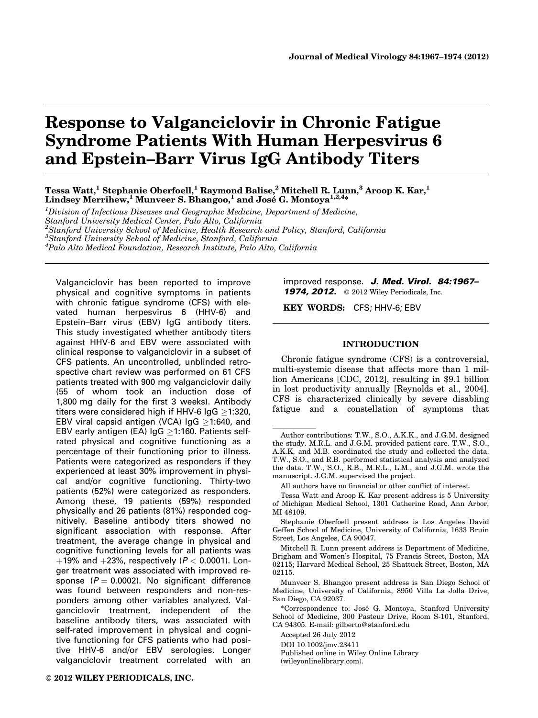# Response to Valganciclovir in Chronic Fatigue Syndrome Patients With Human Herpesvirus 6 and Epstein–Barr Virus IgG Antibody Titers

Tessa Watt,<sup>1</sup> Stephanie Oberfoell,<sup>1</sup> Raymond Balise,<sup>2</sup> Mitchell R. Lunn,<sup>3</sup> Aroop K. Kar,<sup>1</sup> Lindsey Merrihew,<sup>1</sup> Munveer S. Bhangoo,<sup>1</sup> and José G. Montoya<sup>1,2,4\*</sup>

 ${}^{1}$ Division of Infectious Diseases and Geographic Medicine, Department of Medicine, Stanford University Medical Center, Palo Alto, California 2 Stanford University School of Medicine, Health Research and Policy, Stanford, California <sup>3</sup>Stanford University School of Medicine, Stanford, California 4 Palo Alto Medical Foundation, Research Institute, Palo Alto, California

Valganciclovir has been reported to improve physical and cognitive symptoms in patients with chronic fatigue syndrome (CFS) with elevated human herpesvirus 6 (HHV-6) and Epstein–Barr virus (EBV) IgG antibody titers. This study investigated whether antibody titers against HHV-6 and EBV were associated with clinical response to valganciclovir in a subset of CFS patients. An uncontrolled, unblinded retrospective chart review was performed on 61 CFS patients treated with 900 mg valganciclovir daily (55 of whom took an induction dose of 1,800 mg daily for the first 3 weeks). Antibody titers were considered high if HHV-6  $\lg G$  >1:320, EBV viral capsid antigen (VCA) IgG  $\geq$ 1:640, and EBV early antigen (EA)  $\lg G \ge 1:160$ . Patients selfrated physical and cognitive functioning as a percentage of their functioning prior to illness. Patients were categorized as responders if they experienced at least 30% improvement in physical and/or cognitive functioning. Thirty-two patients (52%) were categorized as responders. Among these, 19 patients (59%) responded physically and 26 patients (81%) responded cognitively. Baseline antibody titers showed no significant association with response. After treatment, the average change in physical and cognitive functioning levels for all patients was +19% and +23%, respectively ( $P < 0.0001$ ). Longer treatment was associated with improved response ( $P = 0.0002$ ). No significant difference was found between responders and non-responders among other variables analyzed. Valganciclovir treatment, independent of the baseline antibody titers, was associated with self-rated improvement in physical and cognitive functioning for CFS patients who had positive HHV-6 and/or EBV serologies. Longer valganciclovir treatment correlated with an

improved response. J. Med. Virol. 84:1967-**1974, 2012.** © 2012 Wiley Periodicals, Inc.

KEY WORDS: CFS; HHV-6; EBV

## INTRODUCTION

Chronic fatigue syndrome (CFS) is a controversial, multi-systemic disease that affects more than 1 million Americans [CDC, 2012], resulting in \$9.1 billion in lost productivity annually [Reynolds et al., 2004]. CFS is characterized clinically by severe disabling fatigue and a constellation of symptoms that

All authors have no financial or other conflict of interest.

Stephanie Oberfoell present address is Los Angeles David Geffen School of Medicine, University of California, 1633 Bruin Street, Los Angeles, CA 90047.

Mitchell R. Lunn present address is Department of Medicine, Brigham and Women's Hospital, 75 Francis Street, Boston, MA 02115; Harvard Medical School, 25 Shattuck Street, Boston, MA 02115.

Munveer S. Bhangoo present address is San Diego School of Medicine, University of California, 8950 Villa La Jolla Drive, San Diego, CA 92037.

\*Correspondence to: Jose´ G. Montoya, Stanford University School of Medicine, 300 Pasteur Drive, Room S-101, Stanford, CA 94305. E-mail: gilberto@stanford.edu

Accepted 26 July 2012

DOI 10.1002/jmv.23411

Published online in Wiley Online Library

(wileyonlinelibrary.com).

Author contributions: T.W., S.O., A.K.K., and J.G.M. designed the study. M.R.L. and J.G.M. provided patient care. T.W., S.O., A.K.K, and M.B. coordinated the study and collected the data. T.W., S.O., and R.B. performed statistical analysis and analyzed the data. T.W., S.O., R.B., M.R.L., L.M., and J.G.M. wrote the manuscript. J.G.M. supervised the project.

Tessa Watt and Aroop K. Kar present address is 5 University of Michigan Medical School, 1301 Catherine Road, Ann Arbor, MI 48109.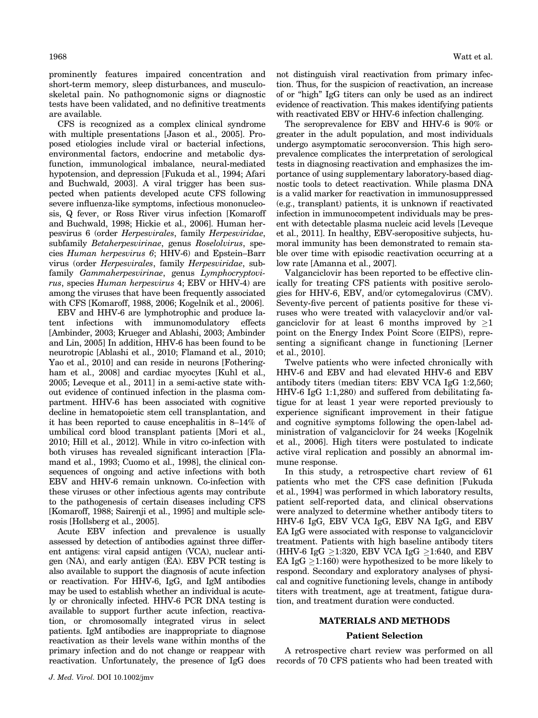prominently features impaired concentration and short-term memory, sleep disturbances, and musculoskeletal pain. No pathognomonic signs or diagnostic tests have been validated, and no definitive treatments are available.

CFS is recognized as a complex clinical syndrome with multiple presentations [Jason et al., 2005]. Proposed etiologies include viral or bacterial infections, environmental factors, endocrine and metabolic dysfunction, immunological imbalance, neural-mediated hypotension, and depression [Fukuda et al., 1994; Afari and Buchwald, 2003]. A viral trigger has been suspected when patients developed acute CFS following severe influenza-like symptoms, infectious mononucleosis, Q fever, or Ross River virus infection [Komaroff and Buchwald, 1998; Hickie et al., 2006]. Human herpesvirus 6 (order Herpesvirales, family Herpesviridae, subfamily Betaherpesvirinae, genus Roselolvirus, species Human herpesvirus 6; HHV-6) and Epstein–Barr virus (order Herpesvirales, family Herpesviridae, subfamily Gammaherpesvirinae, genus Lymphocryptovirus, species Human herpesvirus 4; EBV or HHV-4) are among the viruses that have been frequently associated with CFS [Komaroff, 1988, 2006; Kogelnik et al., 2006].

EBV and HHV-6 are lymphotrophic and produce latent infections with immunomodulatory effects [Ambinder, 2003; Krueger and Ablashi, 2003; Ambinder and Lin, 2005] In addition, HHV-6 has been found to be neurotropic [Ablashi et al., 2010; Flamand et al., 2010; Yao et al., 2010] and can reside in neurons [Fotheringham et al., 2008] and cardiac myocytes [Kuhl et al., 2005; Leveque et al., 2011] in a semi-active state without evidence of continued infection in the plasma compartment. HHV-6 has been associated with cognitive decline in hematopoietic stem cell transplantation, and it has been reported to cause encephalitis in 8–14% of umbilical cord blood transplant patients [Mori et al., 2010; Hill et al., 2012]. While in vitro co-infection with both viruses has revealed significant interaction [Flamand et al., 1993; Cuomo et al., 1998], the clinical consequences of ongoing and active infections with both EBV and HHV-6 remain unknown. Co-infection with these viruses or other infectious agents may contribute to the pathogenesis of certain diseases including CFS [Komaroff, 1988; Sairenji et al., 1995] and multiple sclerosis [Hollsberg et al., 2005].

Acute EBV infection and prevalence is usually assessed by detection of antibodies against three different antigens: viral capsid antigen (VCA), nuclear antigen (NA), and early antigen (EA). EBV PCR testing is also available to support the diagnosis of acute infection or reactivation. For HHV-6, IgG, and IgM antibodies may be used to establish whether an individual is acutely or chronically infected. HHV-6 PCR DNA testing is available to support further acute infection, reactivation, or chromosomally integrated virus in select patients. IgM antibodies are inappropriate to diagnose reactivation as their levels wane within months of the primary infection and do not change or reappear with reactivation. Unfortunately, the presence of IgG does not distinguish viral reactivation from primary infection. Thus, for the suspicion of reactivation, an increase of or ''high'' IgG titers can only be used as an indirect evidence of reactivation. This makes identifying patients with reactivated EBV or HHV-6 infection challenging.

The seroprevalence for EBV and HHV-6 is 90% or greater in the adult population, and most individuals undergo asymptomatic seroconversion. This high seroprevalence complicates the interpretation of serological tests in diagnosing reactivation and emphasizes the importance of using supplementary laboratory-based diagnostic tools to detect reactivation. While plasma DNA is a valid marker for reactivation in immunosuppressed (e.g., transplant) patients, it is unknown if reactivated infection in immunocompetent individuals may be present with detectable plasma nucleic acid levels [Leveque et al., 2011]. In healthy, EBV-seropositive subjects, humoral immunity has been demonstrated to remain stable over time with episodic reactivation occurring at a low rate [Amanna et al., 2007].

Valganciclovir has been reported to be effective clinically for treating CFS patients with positive serologies for HHV-6, EBV, and/or cytomegalovirus (CMV). Seventy-five percent of patients positive for these viruses who were treated with valacyclovir and/or valganciclovir for at least 6 months improved by  $>1$ point on the Energy Index Point Score (EIPS), representing a significant change in functioning [Lerner et al., 2010].

Twelve patients who were infected chronically with HHV-6 and EBV and had elevated HHV-6 and EBV antibody titers (median titers: EBV VCA IgG 1:2,560; HHV-6 IgG 1:1,280) and suffered from debilitating fatigue for at least 1 year were reported previously to experience significant improvement in their fatigue and cognitive symptoms following the open-label administration of valganciclovir for 24 weeks [Kogelnik et al., 2006]. High titers were postulated to indicate active viral replication and possibly an abnormal immune response.

In this study, a retrospective chart review of 61 patients who met the CFS case definition [Fukuda et al., 1994] was performed in which laboratory results, patient self-reported data, and clinical observations were analyzed to determine whether antibody titers to HHV-6 IgG, EBV VCA IgG, EBV NA IgG, and EBV EA IgG were associated with response to valganciclovir treatment. Patients with high baseline antibody titers (HHV-6 IgG  $\geq$ 1:320, EBV VCA IgG  $\geq$ 1:640, and EBV EA IgG  $\geq$ 1:160) were hypothesized to be more likely to respond. Secondary and exploratory analyses of physical and cognitive functioning levels, change in antibody titers with treatment, age at treatment, fatigue duration, and treatment duration were conducted.

## MATERIALS AND METHODS

## Patient Selection

A retrospective chart review was performed on all records of 70 CFS patients who had been treated with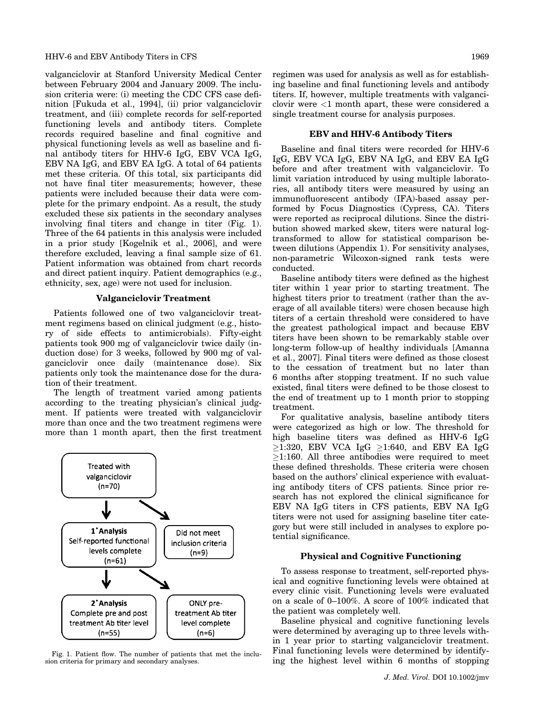## HHV-6 and EBV Antibody Titers in CFS 1969

valganciclovir at Stanford University Medical Center between February 2004 and January 2009. The inclusion criteria were: (i) meeting the CDC CFS case definition [Fukuda et al., 1994], (ii) prior valganciclovir treatment, and (iii) complete records for self-reported functioning levels and antibody titers. Complete records required baseline and final cognitive and physical functioning levels as well as baseline and final antibody titers for HHV-6 IgG, EBV VCA IgG, EBV NA IgG, and EBV EA IgG. A total of 64 patients met these criteria. Of this total, six participants did not have final titer measurements; however, these patients were included because their data were complete for the primary endpoint. As a result, the study excluded these six patients in the secondary analyses involving final titers and change in titer (Fig. 1). Three of the 64 patients in this analysis were included in a prior study [Kogelnik et al., 2006], and were therefore excluded, leaving a final sample size of 61. Patient information was obtained from chart records and direct patient inquiry. Patient demographics (e.g., ethnicity, sex, age) were not used for inclusion.

## Valganciclovir Treatment

Patients followed one of two valganciclovir treatment regimens based on clinical judgment (e.g., history of side effects to antimicrobials). Fifty-eight patients took 900 mg of valganciclovir twice daily (induction dose) for 3 weeks, followed by 900 mg of valganciclovir once daily (maintenance dose). Six patients only took the maintenance dose for the duration of their treatment.

The length of treatment varied among patients according to the treating physician's clinical judgment. If patients were treated with valganciclovir more than once and the two treatment regimens were more than 1 month apart, then the first treatment



sion criteria for primary and secondary analyses.

regimen was used for analysis as well as for establishing baseline and final functioning levels and antibody titers. If, however, multiple treatments with valganciclovir were <1 month apart, these were considered a single treatment course for analysis purposes.

#### EBV and HHV-6 Antibody Titers

Baseline and final titers were recorded for HHV-6 IgG, EBV VCA IgG, EBV NA IgG, and EBV EA IgG before and after treatment with valganciclovir. To limit variation introduced by using multiple laboratories, all antibody titers were measured by using an immunofluorescent antibody (IFA)-based assay performed by Focus Diagnostics (Cypress, CA). Titers were reported as reciprocal dilutions. Since the distribution showed marked skew, titers were natural logtransformed to allow for statistical comparison between dilutions (Appendix 1). For sensitivity analyses, non-parametric Wilcoxon-signed rank tests were conducted.

Baseline antibody titers were defined as the highest titer within 1 year prior to starting treatment. The highest titers prior to treatment (rather than the average of all available titers) were chosen because high titers of a certain threshold were considered to have the greatest pathological impact and because EBV titers have been shown to be remarkably stable over long-term follow-up of healthy individuals [Amanna et al., 2007]. Final titers were defined as those closest to the cessation of treatment but no later than 6 months after stopping treatment. If no such value existed, final titers were defined to be those closest to the end of treatment up to 1 month prior to stopping treatment.

For qualitative analysis, baseline antibody titers were categorized as high or low. The threshold for high baseline titers was defined as HHV-6 IgG  $>1:320$ , EBV VCA IgG  $>1:640$ , and EBV EA IgG  $>1:160$ . All three antibodies were required to meet these defined thresholds. These criteria were chosen based on the authors' clinical experience with evaluating antibody titers of CFS patients. Since prior research has not explored the clinical significance for EBV NA IgG titers in CFS patients, EBV NA IgG titers were not used for assigning baseline titer category but were still included in analyses to explore potential significance.

#### Physical and Cognitive Functioning

To assess response to treatment, self-reported physical and cognitive functioning levels were obtained at every clinic visit. Functioning levels were evaluated on a scale of 0–100%. A score of 100% indicated that the patient was completely well.

Baseline physical and cognitive functioning levels were determined by averaging up to three levels within 1 year prior to starting valganciclovir treatment. Final functioning levels were determined by identify-Fig. 1. Patient flow. The number of patients that met the inclu-<br>ing the highest level within 6 months of stopping<br>ing the highest level within 6 months of stopping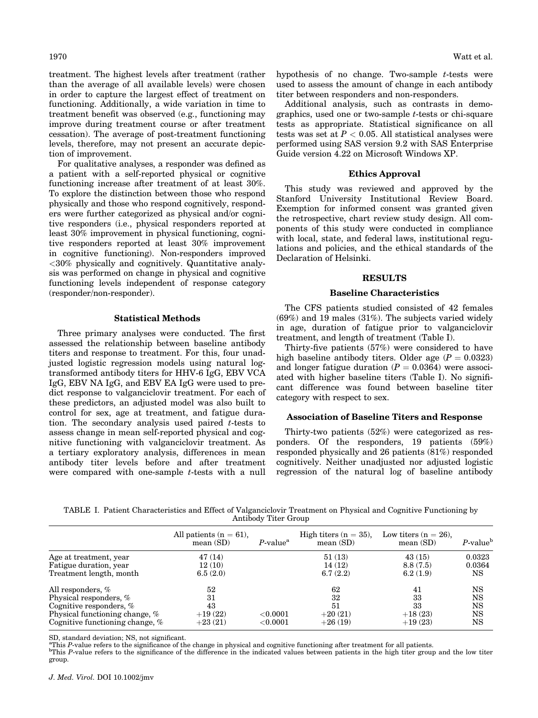treatment. The highest levels after treatment (rather than the average of all available levels) were chosen in order to capture the largest effect of treatment on functioning. Additionally, a wide variation in time to treatment benefit was observed (e.g., functioning may improve during treatment course or after treatment cessation). The average of post-treatment functioning levels, therefore, may not present an accurate depiction of improvement.

For qualitative analyses, a responder was defined as a patient with a self-reported physical or cognitive functioning increase after treatment of at least 30%. To explore the distinction between those who respond physically and those who respond cognitively, responders were further categorized as physical and/or cognitive responders (i.e., physical responders reported at least 30% improvement in physical functioning, cognitive responders reported at least 30% improvement in cognitive functioning). Non-responders improved <30% physically and cognitively. Quantitative analysis was performed on change in physical and cognitive functioning levels independent of response category (responder/non-responder).

## Statistical Methods

Three primary analyses were conducted. The first assessed the relationship between baseline antibody titers and response to treatment. For this, four unadjusted logistic regression models using natural logtransformed antibody titers for HHV-6 IgG, EBV VCA IgG, EBV NA IgG, and EBV EA IgG were used to predict response to valganciclovir treatment. For each of these predictors, an adjusted model was also built to control for sex, age at treatment, and fatigue duration. The secondary analysis used paired  $t$ -tests to assess change in mean self-reported physical and cognitive functioning with valganciclovir treatment. As a tertiary exploratory analysis, differences in mean antibody titer levels before and after treatment were compared with one-sample *t*-tests with a null hypothesis of no change. Two-sample  $t$ -tests were used to assess the amount of change in each antibody titer between responders and non-responders.

Additional analysis, such as contrasts in demographics, used one or two-sample t-tests or chi-square tests as appropriate. Statistical significance on all tests was set at  $P < 0.05$ . All statistical analyses were performed using SAS version 9.2 with SAS Enterprise Guide version 4.22 on Microsoft Windows XP.

#### Ethics Approval

This study was reviewed and approved by the Stanford University Institutional Review Board. Exemption for informed consent was granted given the retrospective, chart review study design. All components of this study were conducted in compliance with local, state, and federal laws, institutional regulations and policies, and the ethical standards of the Declaration of Helsinki.

#### RESULTS

## Baseline Characteristics

The CFS patients studied consisted of 42 females (69%) and 19 males (31%). The subjects varied widely in age, duration of fatigue prior to valganciclovir treatment, and length of treatment (Table I).

Thirty-five patients (57%) were considered to have high baseline antibody titers. Older age  $(P = 0.0323)$ and longer fatigue duration  $(P = 0.0364)$  were associated with higher baseline titers (Table I). No significant difference was found between baseline titer category with respect to sex.

#### Association of Baseline Titers and Response

Thirty-two patients (52%) were categorized as responders. Of the responders, 19 patients (59%) responded physically and 26 patients (81%) responded cognitively. Neither unadjusted nor adjusted logistic regression of the natural log of baseline antibody

TABLE I. Patient Characteristics and Effect of Valganciclovir Treatment on Physical and Cognitive Functioning by Antibody Titer Group

|                                                                                                                                                  | All patients $(n = 61)$ ,<br>mean $(SD)$ | $P$ -value <sup>a</sup>    | High titers $(n = 35)$ ,<br>mean(SD)     | Low titers $(n = 26)$ ,<br>mean(SD)      | $P$ -value <sup>b</sup>    |
|--------------------------------------------------------------------------------------------------------------------------------------------------|------------------------------------------|----------------------------|------------------------------------------|------------------------------------------|----------------------------|
| Age at treatment, year<br>Fatigue duration, year<br>Treatment length, month                                                                      | 47(14)<br>12(10)<br>6.5(2.0)             |                            | 51(13)<br>14(12)<br>6.7(2.2)             | 43(15)<br>8.8(7.5)<br>6.2(1.9)           | 0.0323<br>0.0364<br>NS     |
| All responders, %<br>Physical responders, %<br>Cognitive responders, $%$<br>Physical functioning change, %<br>Cognitive functioning change, $\%$ | 52<br>31<br>43<br>$+19(22)$<br>$+23(21)$ | ${<}0.0001$<br>${<}0.0001$ | 62<br>32<br>51<br>$+20(21)$<br>$+26(19)$ | 41<br>33<br>33<br>$+18(23)$<br>$+19(23)$ | NS<br>NS<br>NS<br>NS<br>NS |

SD, standard deviation; NS, not significant.

<sup>a</sup>This *P*-value refers to the significance of the change in physical and cognitive functioning after treatment for all patients.  $P$  value refers to the significance of the difference in the indicated values between pat

<sup>b</sup>This P-value refers to the significance of the difference in the indicated values between patients in the high titer group and the low titer group.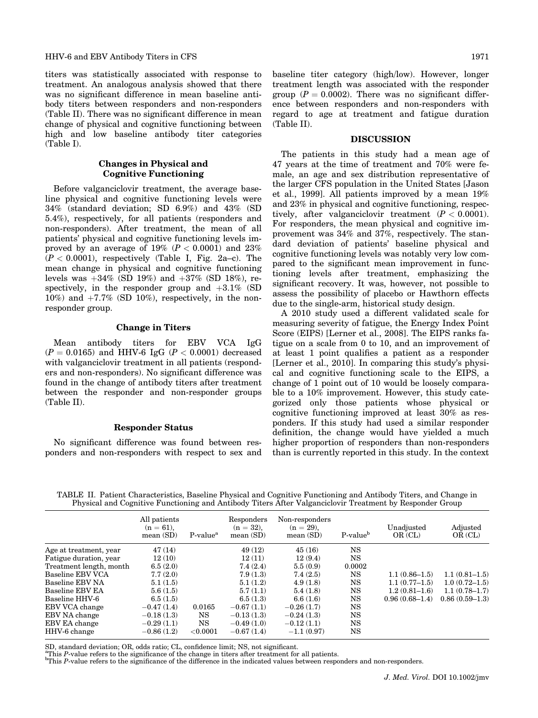titers was statistically associated with response to treatment. An analogous analysis showed that there was no significant difference in mean baseline antibody titers between responders and non-responders (Table II). There was no significant difference in mean change of physical and cognitive functioning between high and low baseline antibody titer categories (Table I).

# Changes in Physical and Cognitive Functioning

Before valganciclovir treatment, the average baseline physical and cognitive functioning levels were 34% (standard deviation; SD 6.9%) and 43% (SD 5.4%), respectively, for all patients (responders and non-responders). After treatment, the mean of all patients' physical and cognitive functioning levels improved by an average of  $19\%$  ( $P < 0.0001$ ) and  $23\%$  $(P < 0.0001)$ , respectively (Table I, Fig. 2a–c). The mean change in physical and cognitive functioning levels was  $+34\%$  (SD 19%) and  $+37\%$  (SD 18%), respectively, in the responder group and  $+3.1\%$  (SD 10%) and  $+7.7\%$  (SD 10%), respectively, in the nonresponder group.

#### Change in Titers

Mean antibody titers for EBV VCA IgG  $(P = 0.0165)$  and HHV-6 IgG ( $P < 0.0001$ ) decreased with valganciclovir treatment in all patients (responders and non-responders). No significant difference was found in the change of antibody titers after treatment between the responder and non-responder groups (Table II).

#### Responder Status

No significant difference was found between responders and non-responders with respect to sex and baseline titer category (high/low). However, longer treatment length was associated with the responder group ( $P = 0.0002$ ). There was no significant difference between responders and non-responders with regard to age at treatment and fatigue duration (Table II).

#### DISCUSSION

The patients in this study had a mean age of 47 years at the time of treatment and 70% were female, an age and sex distribution representative of the larger CFS population in the United States [Jason et al., 1999]. All patients improved by a mean 19% and 23% in physical and cognitive functioning, respectively, after valganciclovir treatment  $(P < 0.0001)$ . For responders, the mean physical and cognitive improvement was 34% and 37%, respectively. The standard deviation of patients' baseline physical and cognitive functioning levels was notably very low compared to the significant mean improvement in functioning levels after treatment, emphasizing the significant recovery. It was, however, not possible to assess the possibility of placebo or Hawthorn effects due to the single-arm, historical study design.

A 2010 study used a different validated scale for measuring severity of fatigue, the Energy Index Point Score (EIPS) [Lerner et al., 2008]. The EIPS ranks fatigue on a scale from 0 to 10, and an improvement of at least 1 point qualifies a patient as a responder [Lerner et al., 2010]. In comparing this study's physical and cognitive functioning scale to the EIPS, a change of 1 point out of 10 would be loosely comparable to a 10% improvement. However, this study categorized only those patients whose physical or cognitive functioning improved at least 30% as responders. If this study had used a similar responder definition, the change would have yielded a much higher proportion of responders than non-responders than is currently reported in this study. In the context

|                         | All patients<br>$(n = 61)$ .<br>mean(SD) | P-value <sup>a</sup> | Responders<br>$(n = 32)$ ,<br>mean(SD) | Non-responders<br>$(n = 29)$ ,<br>mean(SD) | P-value <sup>b</sup> | Unadjusted<br>$OR$ ( $CL$ ) | Adjusted<br>$OR$ (CL) |
|-------------------------|------------------------------------------|----------------------|----------------------------------------|--------------------------------------------|----------------------|-----------------------------|-----------------------|
| Age at treatment, year  | 47(14)                                   |                      | 49(12)                                 | 45(16)                                     | <b>NS</b>            |                             |                       |
| Fatigue duration, year  | 12(10)                                   |                      | 12(11)                                 | 12(9.4)                                    | <b>NS</b>            |                             |                       |
| Treatment length, month | 6.5(2.0)                                 |                      | 7.4(2.4)                               | 5.5(0.9)                                   | 0.0002               |                             |                       |
| Baseline EBV VCA        | 7.7(2.0)                                 |                      | 7.9(1.3)                               | 7.4(2.5)                                   | <b>NS</b>            | $1.1(0.86 - 1.5)$           | $1.1(0.81-1.5)$       |
| Baseline EBV NA         | 5.1(1.5)                                 |                      | 5.1(1.2)                               | 4.9(1.8)                                   | NS                   | $1.1(0.77-1.5)$             | $1.0(0.72 - 1.5)$     |
| Baseline EBV EA         | 5.6(1.5)                                 |                      | 5.7(1.1)                               | 5.4(1.8)                                   | NS                   | $1.2(0.81 - 1.6)$           | $1.1(0.78-1.7)$       |
| Baseline HHV-6          | 6.5(1.5)                                 |                      | 6.5(1.3)                               | 6.6(1.6)                                   | NS                   | $0.96(0.68 - 1.4)$          | $0.86(0.59-1.3)$      |
| EBV VCA change          | $-0.47(1.4)$                             | 0.0165               | $-0.67(1.1)$                           | $-0.26(1.7)$                               | NS                   |                             |                       |
| EBV NA change           | $-0.18(1.3)$                             | <b>NS</b>            | $-0.13(1.3)$                           | $-0.24(1.3)$                               | <b>NS</b>            |                             |                       |
| EBV EA change           | $-0.29(1.1)$                             | <b>NS</b>            | $-0.49(1.0)$                           | $-0.12(1.1)$                               | <b>NS</b>            |                             |                       |
| HHV-6 change            | $-0.86(1.2)$                             | < 0.0001             | $-0.67(1.4)$                           | $-1.1(0.97)$                               | NS                   |                             |                       |

TABLE II. Patient Characteristics, Baseline Physical and Cognitive Functioning and Antibody Titers, and Change in Physical and Cognitive Functioning and Antibody Titers After Valganciclovir Treatment by Responder Group

SD, standard deviation; OR, odds ratio; CL, confidence limit; NS, not significant.

<sup>a</sup>This *P*-value refers to the significance of the change in titers after treatment for all patients.

<sup>b</sup>This P-value refers to the significance of the difference in the indicated values between responders and non-responders.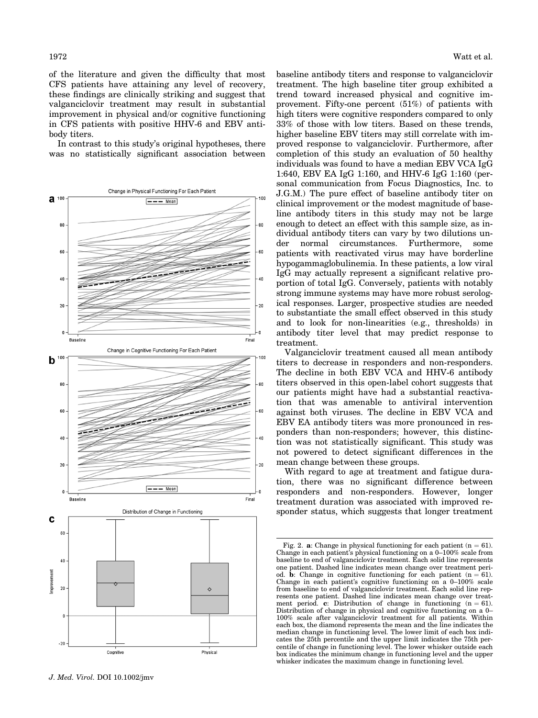of the literature and given the difficulty that most CFS patients have attaining any level of recovery, these findings are clinically striking and suggest that valganciclovir treatment may result in substantial improvement in physical and/or cognitive functioning in CFS patients with positive HHV-6 and EBV antibody titers.

In contrast to this study's original hypotheses, there was no statistically significant association between



baseline antibody titers and response to valganciclovir treatment. The high baseline titer group exhibited a trend toward increased physical and cognitive improvement. Fifty-one percent (51%) of patients with high titers were cognitive responders compared to only 33% of those with low titers. Based on these trends, higher baseline EBV titers may still correlate with improved response to valganciclovir. Furthermore, after completion of this study an evaluation of 50 healthy individuals was found to have a median EBV VCA IgG 1:640, EBV EA IgG 1:160, and HHV-6 IgG 1:160 (personal communication from Focus Diagnostics, Inc. to J.G.M.) The pure effect of baseline antibody titer on clinical improvement or the modest magnitude of baseline antibody titers in this study may not be large enough to detect an effect with this sample size, as individual antibody titers can vary by two dilutions under normal circumstances. Furthermore, some patients with reactivated virus may have borderline hypogammaglobulinemia. In these patients, a low viral IgG may actually represent a significant relative proportion of total IgG. Conversely, patients with notably strong immune systems may have more robust serological responses. Larger, prospective studies are needed to substantiate the small effect observed in this study and to look for non-linearities (e.g., thresholds) in antibody titer level that may predict response to treatment.

Valganciclovir treatment caused all mean antibody titers to decrease in responders and non-responders. The decline in both EBV VCA and HHV-6 antibody titers observed in this open-label cohort suggests that our patients might have had a substantial reactivation that was amenable to antiviral intervention against both viruses. The decline in EBV VCA and EBV EA antibody titers was more pronounced in responders than non-responders; however, this distinction was not statistically significant. This study was not powered to detect significant differences in the mean change between these groups.

With regard to age at treatment and fatigue duration, there was no significant difference between responders and non-responders. However, longer treatment duration was associated with improved responder status, which suggests that longer treatment

Fig. 2. a: Change in physical functioning for each patient  $(n = 61)$ . Change in each patient's physical functioning on a 0–100% scale from baseline to end of valganciclovir treatment. Each solid line represents one patient. Dashed line indicates mean change over treatment period. **b**: Change in cognitive functioning for each patient  $(n = 61)$ . Change in each patient's cognitive functioning on a 0–100% scale from baseline to end of valganciclovir treatment. Each solid line represents one patient. Dashed line indicates mean change over treatment period. c: Distribution of change in functioning  $(n = 61)$ . Distribution of change in physical and cognitive functioning on a 0– 100% scale after valganciclovir treatment for all patients. Within each box, the diamond represents the mean and the line indicates the median change in functioning level. The lower limit of each box indicates the 25th percentile and the upper limit indicates the 75th percentile of change in functioning level. The lower whisker outside each box indicates the minimum change in functioning level and the upper whisker indicates the maximum change in functioning level.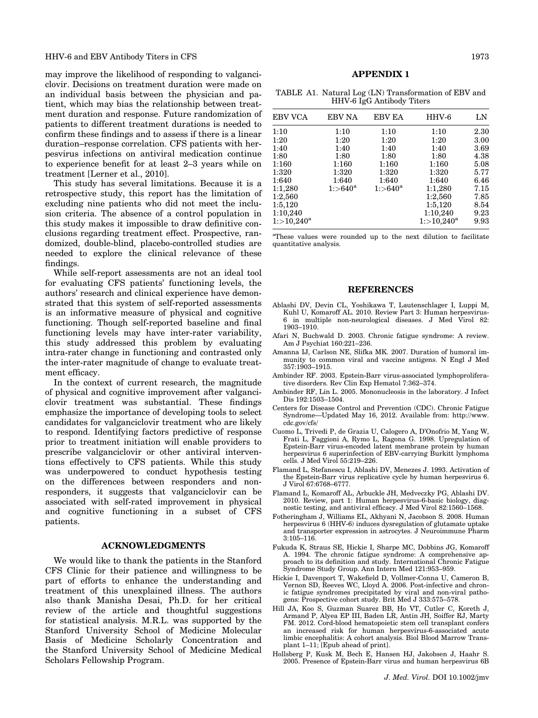may improve the likelihood of responding to valganciclovir. Decisions on treatment duration were made on an individual basis between the physician and patient, which may bias the relationship between treatment duration and response. Future randomization of patients to different treatment durations is needed to confirm these findings and to assess if there is a linear duration–response correlation. CFS patients with herpesvirus infections on antiviral medication continue to experience benefit for at least 2–3 years while on treatment [Lerner et al., 2010].

This study has several limitations. Because it is a retrospective study, this report has the limitation of excluding nine patients who did not meet the inclusion criteria. The absence of a control population in this study makes it impossible to draw definitive conclusions regarding treatment effect. Prospective, randomized, double-blind, placebo-controlled studies are needed to explore the clinical relevance of these findings.

While self-report assessments are not an ideal tool for evaluating CFS patients' functioning levels, the authors' research and clinical experience have demonstrated that this system of self-reported assessments is an informative measure of physical and cognitive functioning. Though self-reported baseline and final functioning levels may have inter-rater variability, this study addressed this problem by evaluating intra-rater change in functioning and contrasted only the inter-rater magnitude of change to evaluate treatment efficacy.

In the context of current research, the magnitude of physical and cognitive improvement after valganciclovir treatment was substantial. These findings emphasize the importance of developing tools to select candidates for valganciclovir treatment who are likely to respond. Identifying factors predictive of response prior to treatment initiation will enable providers to prescribe valganciclovir or other antiviral interventions effectively to CFS patients. While this study was underpowered to conduct hypothesis testing on the differences between responders and nonresponders, it suggests that valganciclovir can be associated with self-rated improvement in physical and cognitive functioning in a subset of CFS patients.

#### ACKNOWLEDGMENTS

We would like to thank the patients in the Stanford CFS Clinic for their patience and willingness to be part of efforts to enhance the understanding and treatment of this unexplained illness. The authors also thank Manisha Desai, Ph.D. for her critical review of the article and thoughtful suggestions for statistical analysis. M.R.L. was supported by the Stanford University School of Medicine Molecular Basis of Medicine Scholarly Concentration and the Stanford University School of Medicine Medical Scholars Fellowship Program.

## APPENDIX 1

TABLE A1. Natural Log (LN) Transformation of EBV and HHV-6 IgG Antibody Titers

| EBV VCA                                                                                                                       | <b>EBV NA</b>                                                                 | <b>EBV EA</b>                                                                 | HHV-6                                                                                                                              | LN                                                                                           |
|-------------------------------------------------------------------------------------------------------------------------------|-------------------------------------------------------------------------------|-------------------------------------------------------------------------------|------------------------------------------------------------------------------------------------------------------------------------|----------------------------------------------------------------------------------------------|
| 1:10<br>1:20<br>1:40<br>1:80<br>1:160<br>1:320<br>1:640<br>1:1,280<br>1:2,560<br>1:5,120<br>1:10,240<br>$1: > 10,240^{\rm a}$ | 1:10<br>1:20<br>1:40<br>1:80<br>1:160<br>1:320<br>1:640<br>$1: > 640^{\rm a}$ | 1:10<br>1:20<br>1:40<br>1:80<br>1:160<br>1:320<br>1:640<br>$1: > 640^{\rm a}$ | 1:10<br>1:20<br>1:40<br>1:80<br>1:160<br>1:320<br>1:640<br>1:1,280<br>1:2,560<br>1:5,120<br>1:10,240<br>$1: > 10,240^{\mathrm{a}}$ | 2.30<br>3.00<br>3.69<br>4.38<br>5.08<br>5.77<br>6.46<br>7.15<br>7.85<br>8.54<br>9.23<br>9.93 |
|                                                                                                                               |                                                                               |                                                                               |                                                                                                                                    |                                                                                              |

<sup>a</sup>These values were rounded up to the next dilution to facilitate quantitative analysis.

#### REFERENCES

- Ablashi DV, Devin CL, Yoshikawa T, Lautenschlager I, Luppi M, Kuhl U, Komaroff AL. 2010. Review Part 3: Human herpesvirus-6 in multiple non-neurological diseases. J Med Virol 82: 1903–1910.
- Afari N, Buchwald D. 2003. Chronic fatigue syndrome: A review. Am J Psychiat 160:221–236.
- Amanna IJ, Carlson NE, Slifka MK. 2007. Duration of humoral immunity to common viral and vaccine antigens. N Engl J Med 357:1903–1915.
- Ambinder RF. 2003. Epstein-Barr virus-associated lymphoproliferative disorders. Rev Clin Exp Hematol 7:362–374.
- Ambinder RF, Lin L. 2005. Mononucleosis in the laboratory. J Infect Dis 192:1503–1504.
- Centers for Disease Control and Prevention (CDC). Chronic Fatigue Syndrome—Updated May 16, 2012. Available from: http://www. cdc.gov/cfs/
- Cuomo L, Trivedi P, de Grazia U, Calogero A, D'Onofrio M, Yang W, Frati L, Faggioni A, Rymo L, Ragona G. 1998. Upregulation of Epstein-Barr virus-encoded latent membrane protein by human herpesvirus 6 superinfection of EBV-carrying Burkitt lymphoma cells. J Med Virol 55:219–226.
- Flamand L, Stefanescu I, Ablashi DV, Menezes J. 1993. Activation of the Epstein-Barr virus replicative cycle by human herpesvirus 6. J Virol 67:6768–6777.
- Flamand L, Komaroff AL, Arbuckle JH, Medveczky PG, Ablashi DV. 2010. Review, part 1: Human herpesvirus-6-basic biology, diagnostic testing, and antiviral efficacy. J Med Virol 82:1560–1568.
- Fotheringham J, Williams EL, Akhyani N, Jacobson S. 2008. Human herpesvirus 6 (HHV-6) induces dysregulation of glutamate uptake and transporter expression in astrocytes. J Neuroimmune Pharm 3:105–116.
- Fukuda K, Straus SE, Hickie I, Sharpe MC, Dobbins JG, Komaroff A. 1994. The chronic fatigue syndrome: A comprehensive approach to its definition and study. International Chronic Fatigue Syndrome Study Group. Ann Intern Med 121:953–959.
- Hickie I, Davenport T, Wakefield D, Vollmer-Conna U, Cameron B, Vernon SD, Reeves WC, Lloyd A. 2006. Post-infective and chronic fatigue syndromes precipitated by viral and non-viral pathogens: Prospective cohort study. Brit Med J 333:575–578.
- Hill JA, Koo S, Guzman Suarez BB, Ho VT, Cutler C, Koreth J, Armand P, Alyea EP III, Baden LR, Antin JH, Soiffer RJ, Marty FM. 2012. Cord-blood hematopoietic stem cell transplant confers an increased risk for human herpesvirus-6-associated acute limbic encephalitis: A cohort analysis. Biol Blood Marrow Transplant 1–11; [Epub ahead of print].
- Hollsberg P, Kusk M, Bech E, Hansen HJ, Jakobsen J, Haahr S. 2005. Presence of Epstein-Barr virus and human herpesvirus 6B